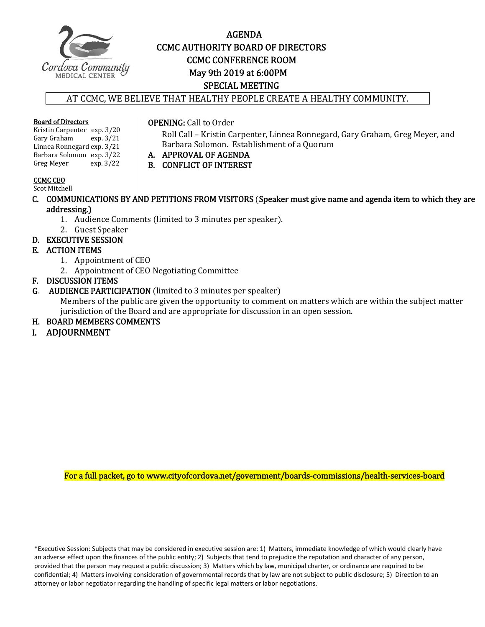

## AGENDA CCMC AUTHORITY BOARD OF DIRECTORS **CCMC CONFERENCE ROOM**  May 9th 2019 at 6:00PM SPECIAL MEETING

AT CCMC, WE BELIEVE THAT HEALTHY PEOPLE CREATE A HEALTHY COMMUNITY.

#### **Board of Directors**

Kristin Carpenter exp. 3/20<br>Gary Graham exp. 3/21 Gary Graham Linnea Ronnegard exp. 3/21 Barbara Solomon exp. 3/22<br>Greg Meyer exp. 3/22 Greg Meyer

### CCMC CEO

Scot Mitchell

C. COMMUNICATIONS BY AND PETITIONS FROM VISITORS (Speaker must give name and agenda item to which they are addressing.)

Barbara Solomon. Establishment of a Quorum

Roll Call - Kristin Carpenter, Linnea Ronnegard, Gary Graham, Greg Meyer, and

1. Audience Comments (limited to 3 minutes per speaker).

**OPENING:** Call to Order

A. APPROVAL OF AGENDA B. CONFLICT OF INTEREST

- 2. Guest Speaker
- D. EXECUTIVE SESSION

### E. ACTION ITEMS

- 1. Appointment of CEO
- 2. Appointment of CEO Negotiating Committee
- **F. DISCUSSION ITEMS<br>G. AUDIENCE PARTIC**
- AUDIENCE PARTICIPATION (limited to 3 minutes per speaker)

Members of the public are given the opportunity to comment on matters which are within the subject matter jurisdiction of the Board and are appropriate for discussion in an open session.

- H. BOARD MEMBERS COMMENTS
- I. ADJOURNMENT

For a full packet, go to www.cityofcordova.net/government/boards-commissions/health-services-board

\*Executive Session: Subjects that may be considered in executive session are: 1) Matters, immediate knowledge of which would clearly have an adverse effect upon the finances of the public entity; 2) Subjects that tend to prejudice the reputation and character of any person, provided that the person may request a public discussion; 3) Matters which by law, municipal charter, or ordinance are required to be confidential; 4) Matters involving consideration of governmental records that by law are not subject to public disclosure; 5) Direction to an attorney or labor negotiator regarding the handling of specific legal matters or labor negotiations.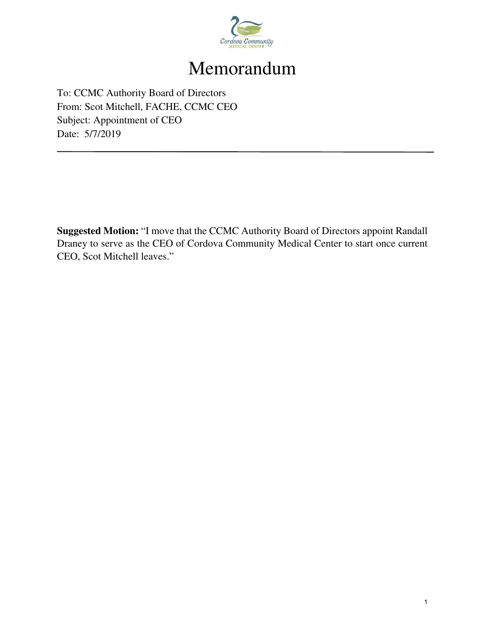

# Memorandum

To: CCMC Authority Board of Directors From: Scot Mitchell, FACHE, CCMC CEO Subject: Appointment of CEO Date: 5/7/2019

**Suggested Motion:** "I move that the CCMC Authority Board of Directors appoint Randall Draney to serve as the CEO of Cordova Community Medical Center to start once current CEO, Scot Mitchell leaves."